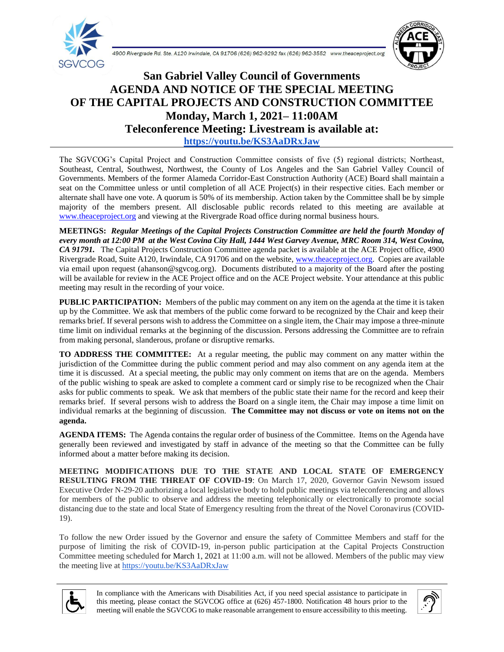



## **San Gabriel Valley Council of Governments AGENDA AND NOTICE OF THE SPECIAL MEETING OF THE CAPITAL PROJECTS AND CONSTRUCTION COMMITTEE Monday, March 1, 2021– 11:00AM Teleconference Meeting: Livestream is available at: <https://youtu.be/KS3AaDRxJaw>**

The SGVCOG's Capital Project and Construction Committee consists of five (5) regional districts; Northeast, Southeast, Central, Southwest, Northwest, the County of Los Angeles and the San Gabriel Valley Council of Governments. Members of the former Alameda Corridor-East Construction Authority (ACE) Board shall maintain a seat on the Committee unless or until completion of all ACE Project(s) in their respective cities. Each member or alternate shall have one vote. A quorum is 50% of its membership. Action taken by the Committee shall be by simple majority of the members present. All disclosable public records related to this meeting are available at [www.theaceproject.org](http://www.theaceproject.org/) and viewing at the Rivergrade Road office during normal business hours.

**MEETINGS:** *Regular Meetings of the Capital Projects Construction Committee are held the fourth Monday of every month at 12:00 PM at the West Covina City Hall, 1444 West Garvey Avenue, MRC Room 314, West Covina, CA 91791.* The Capital Projects Construction Committee agenda packet is available at the ACE Project office, 4900 Rivergrade Road, Suite A120, Irwindale, CA 91706 and on the website, [www.theaceproject.org.](http://www.theaceproject.org/) Copies are available via email upon request (ahanson@sgvcog.org). Documents distributed to a majority of the Board after the posting will be available for review in the ACE Project office and on the ACE Project website. Your attendance at this public meeting may result in the recording of your voice.

**PUBLIC PARTICIPATION:** Members of the public may comment on any item on the agenda at the time it is taken up by the Committee. We ask that members of the public come forward to be recognized by the Chair and keep their remarks brief. If several persons wish to address the Committee on a single item, the Chair may impose a three-minute time limit on individual remarks at the beginning of the discussion. Persons addressing the Committee are to refrain from making personal, slanderous, profane or disruptive remarks.

**TO ADDRESS THE COMMITTEE:** At a regular meeting, the public may comment on any matter within the jurisdiction of the Committee during the public comment period and may also comment on any agenda item at the time it is discussed. At a special meeting, the public may only comment on items that are on the agenda. Members of the public wishing to speak are asked to complete a comment card or simply rise to be recognized when the Chair asks for public comments to speak. We ask that members of the public state their name for the record and keep their remarks brief. If several persons wish to address the Board on a single item, the Chair may impose a time limit on individual remarks at the beginning of discussion. **The Committee may not discuss or vote on items not on the agenda.**

**AGENDA ITEMS:** The Agenda contains the regular order of business of the Committee. Items on the Agenda have generally been reviewed and investigated by staff in advance of the meeting so that the Committee can be fully informed about a matter before making its decision.

**MEETING MODIFICATIONS DUE TO THE STATE AND LOCAL STATE OF EMERGENCY RESULTING FROM THE THREAT OF COVID-19**: On March 17, 2020, Governor Gavin Newsom issued Executive Order N-29-20 authorizing a local legislative body to hold public meetings via teleconferencing and allows for members of the public to observe and address the meeting telephonically or electronically to promote social distancing due to the state and local State of Emergency resulting from the threat of the Novel Coronavirus (COVID-19).

To follow the new Order issued by the Governor and ensure the safety of Committee Members and staff for the purpose of limiting the risk of COVID-19, in-person public participation at the Capital Projects Construction Committee meeting scheduled for March 1, 2021 at 11:00 a.m. will not be allowed. Members of the public may view the meeting live at <https://youtu.be/KS3AaDRxJaw>



In compliance with the Americans with Disabilities Act, if you need special assistance to participate in this meeting, please contact the SGVCOG office at (626) 457-1800. Notification 48 hours prior to the meeting will enable the SGVCOG to make reasonable arrangement to ensure accessibility to this meeting.